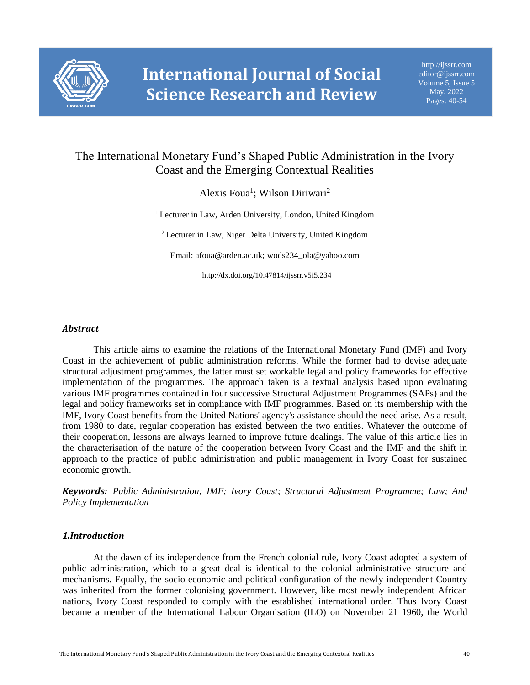

# The International Monetary Fund's Shaped Public Administration in the Ivory Coast and the Emerging Contextual Realities

Alexis Foua<sup>1</sup>; Wilson Diriwari<sup>2</sup>

<sup>1</sup> Lecturer in Law, Arden University, London, United Kingdom

<sup>2</sup> Lecturer in Law, Niger Delta University, United Kingdom

Email: afoua@arden.ac.uk; wods234\_ola@yahoo.com

http://dx.doi.org/10.47814/ijssrr.v5i5.234

# *Abstract*

This article aims to examine the relations of the International Monetary Fund (IMF) and Ivory Coast in the achievement of public administration reforms. While the former had to devise adequate structural adjustment programmes, the latter must set workable legal and policy frameworks for effective implementation of the programmes. The approach taken is a textual analysis based upon evaluating various IMF programmes contained in four successive Structural Adjustment Programmes (SAPs) and the legal and policy frameworks set in compliance with IMF programmes. Based on its membership with the IMF, Ivory Coast benefits from the United Nations' agency's assistance should the need arise. As a result, from 1980 to date, regular cooperation has existed between the two entities. Whatever the outcome of their cooperation, lessons are always learned to improve future dealings. The value of this article lies in the characterisation of the nature of the cooperation between Ivory Coast and the IMF and the shift in approach to the practice of public administration and public management in Ivory Coast for sustained economic growth.

*Keywords: Public Administration; IMF; Ivory Coast; Structural Adjustment Programme; Law; And Policy Implementation*

# *1.Introduction*

At the dawn of its independence from the French colonial rule, Ivory Coast adopted a system of public administration, which to a great deal is identical to the colonial administrative structure and mechanisms. Equally, the socio-economic and political configuration of the newly independent Country was inherited from the former colonising government. However, like most newly independent African nations, Ivory Coast responded to comply with the established international order. Thus Ivory Coast became a member of the International Labour Organisation (ILO) on November 21 1960, the World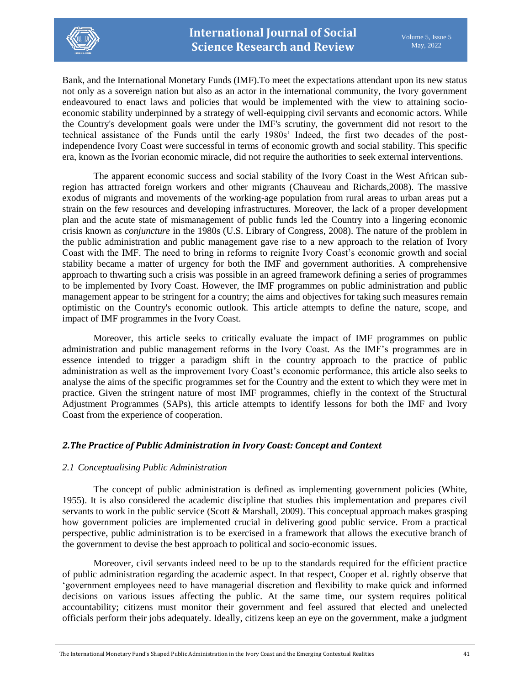

Bank, and the International Monetary Funds (IMF).To meet the expectations attendant upon its new status not only as a sovereign nation but also as an actor in the international community, the Ivory government endeavoured to enact laws and policies that would be implemented with the view to attaining socioeconomic stability underpinned by a strategy of well-equipping civil servants and economic actors. While the Country's development goals were under the IMF's scrutiny, the government did not resort to the technical assistance of the Funds until the early 1980s' Indeed, the first two decades of the postindependence Ivory Coast were successful in terms of economic growth and social stability. This specific era, known as the Ivorian economic miracle, did not require the authorities to seek external interventions.

The apparent economic success and social stability of the Ivory Coast in the West African subregion has attracted foreign workers and other migrants (Chauveau and Richards,2008). The massive exodus of migrants and movements of the working-age population from rural areas to urban areas put a strain on the few resources and developing infrastructures. Moreover, the lack of a proper development plan and the acute state of mismanagement of public funds led the Country into a lingering economic crisis known as *conjuncture* in the 1980s (U.S. Library of Congress, 2008). The nature of the problem in the public administration and public management gave rise to a new approach to the relation of Ivory Coast with the IMF. The need to bring in reforms to reignite Ivory Coast's economic growth and social stability became a matter of urgency for both the IMF and government authorities. A comprehensive approach to thwarting such a crisis was possible in an agreed framework defining a series of programmes to be implemented by Ivory Coast. However, the IMF programmes on public administration and public management appear to be stringent for a country; the aims and objectives for taking such measures remain optimistic on the Country's economic outlook. This article attempts to define the nature, scope, and impact of IMF programmes in the Ivory Coast.

Moreover, this article seeks to critically evaluate the impact of IMF programmes on public administration and public management reforms in the Ivory Coast. As the IMF's programmes are in essence intended to trigger a paradigm shift in the country approach to the practice of public administration as well as the improvement Ivory Coast's economic performance, this article also seeks to analyse the aims of the specific programmes set for the Country and the extent to which they were met in practice. Given the stringent nature of most IMF programmes, chiefly in the context of the Structural Adjustment Programmes (SAPs), this article attempts to identify lessons for both the IMF and Ivory Coast from the experience of cooperation.

# *2.The Practice of Public Administration in Ivory Coast: Concept and Context*

# *2.1 Conceptualising Public Administration*

The concept of public administration is defined as implementing government policies (White, 1955). It is also considered the academic discipline that studies this implementation and prepares civil servants to work in the public service (Scott & Marshall, 2009). This conceptual approach makes grasping how government policies are implemented crucial in delivering good public service. From a practical perspective, public administration is to be exercised in a framework that allows the executive branch of the government to devise the best approach to political and socio-economic issues.

Moreover, civil servants indeed need to be up to the standards required for the efficient practice of public administration regarding the academic aspect. In that respect, Cooper et al. rightly observe that 'government employees need to have managerial discretion and flexibility to make quick and informed decisions on various issues affecting the public. At the same time, our system requires political accountability; citizens must monitor their government and feel assured that elected and unelected officials perform their jobs adequately. Ideally, citizens keep an eye on the government, make a judgment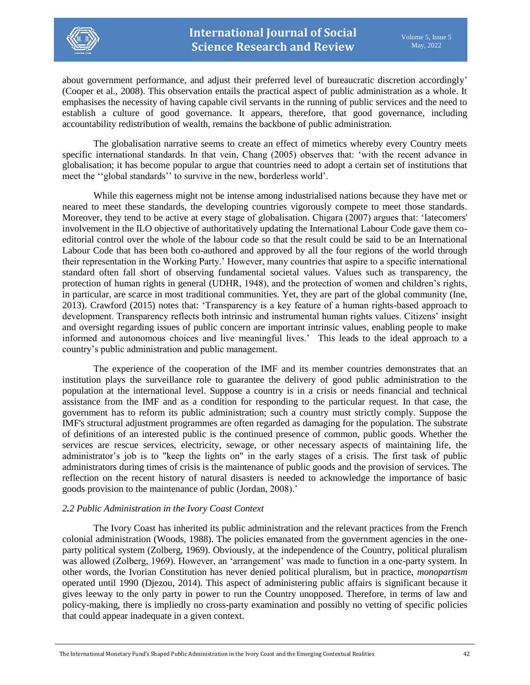

about government performance, and adjust their preferred level of bureaucratic discretion accordingly' (Cooper et al., 2008). This observation entails the practical aspect of public administration as a whole. It emphasises the necessity of having capable civil servants in the running of public services and the need to establish a culture of good governance. It appears, therefore, that good governance, including accountability redistribution of wealth, remains the backbone of public administration.

The globalisation narrative seems to create an effect of mimetics whereby every Country meets specific international standards. In that vein, Chang (2005) observes that: 'with the recent advance in globalisation; it has become popular to argue that countries need to adopt a certain set of institutions that meet the ''global standards'' to survive in the new, borderless world'.

While this eagerness might not be intense among industrialised nations because they have met or neared to meet these standards, the developing countries vigorously compete to meet those standards. Moreover, they tend to be active at every stage of globalisation. Chigara (2007) argues that: 'latecomers' involvement in the ILO objective of authoritatively updating the International Labour Code gave them coeditorial control over the whole of the labour code so that the result could be said to be an International Labour Code that has been both co-authored and approved by all the four regions of the world through their representation in the Working Party.' However, many countries that aspire to a specific international standard often fall short of observing fundamental societal values. Values such as transparency, the protection of human rights in general (UDHR, 1948), and the protection of women and children's rights, in particular, are scarce in most traditional communities. Yet, they are part of the global community (Ine, 2013). Crawford (2015) notes that: 'Transparency is a key feature of a human rights-based approach to development. Transparency reflects both intrinsic and instrumental human rights values. Citizens' insight and oversight regarding issues of public concern are important intrinsic values, enabling people to make informed and autonomous choices and live meaningful lives.' This leads to the ideal approach to a country's public administration and public management.

The experience of the cooperation of the IMF and its member countries demonstrates that an institution plays the surveillance role to guarantee the delivery of good public administration to the population at the international level. Suppose a country is in a crisis or needs financial and technical assistance from the IMF and as a condition for responding to the particular request. In that case, the government has to reform its public administration; such a country must strictly comply. Suppose the IMF's structural adjustment programmes are often regarded as damaging for the population. The substrate of definitions of an interested public is the continued presence of common, public goods. Whether the services are rescue services, electricity, sewage, or other necessary aspects of maintaining life, the administrator's job is to "keep the lights on" in the early stages of a crisis. The first task of public administrators during times of crisis is the maintenance of public goods and the provision of services. The reflection on the recent history of natural disasters is needed to acknowledge the importance of basic goods provision to the maintenance of public (Jordan, 2008).'

# *2.2 Public Administration in the Ivory Coast Context*

The Ivory Coast has inherited its public administration and the relevant practices from the French colonial administration (Woods, 1988). The policies emanated from the government agencies in the oneparty political system (Zolberg, 1969). Obviously, at the independence of the Country, political pluralism was allowed (Zolberg, 1969). However, an 'arrangement' was made to function in a one-party system. In other words, the Ivorian Constitution has never denied political pluralism, but in practice, *monopartism* operated until 1990 (Djezou, 2014). This aspect of administering public affairs is significant because it gives leeway to the only party in power to run the Country unopposed. Therefore, in terms of law and policy-making, there is impliedly no cross-party examination and possibly no vetting of specific policies that could appear inadequate in a given context.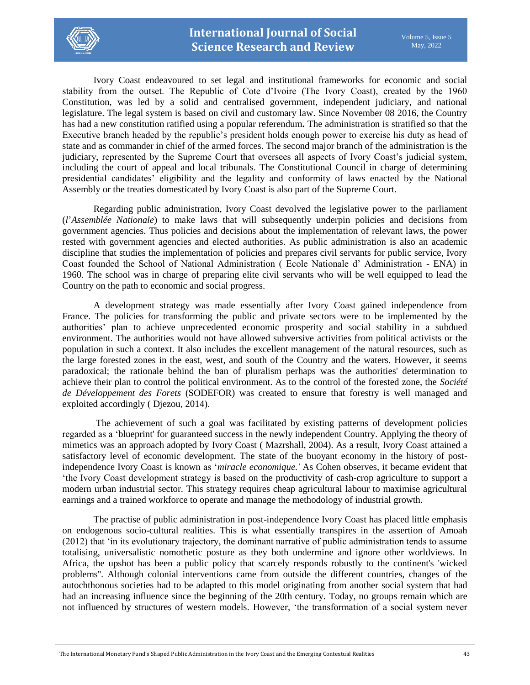

Ivory Coast endeavoured to set legal and institutional frameworks for economic and social stability from the outset. The Republic of Cote d'Ivoire (The Ivory Coast), created by the 1960 Constitution, was led by a solid and centralised government, independent judiciary, and national legislature. The legal system is based on civil and customary law. Since November 08 2016, the Country has had a new constitution ratified using a popular referendum**.** The administration is stratified so that the Executive branch headed by the republic's president holds enough power to exercise his duty as head of state and as commander in chief of the armed forces. The second major branch of the administration is the judiciary, represented by the Supreme Court that oversees all aspects of Ivory Coast's judicial system, including the court of appeal and local tribunals. The Constitutional Council in charge of determining presidential candidates' eligibility and the legality and conformity of laws enacted by the National Assembly or the treaties domesticated by Ivory Coast is also part of the Supreme Court.

Regarding public administration, Ivory Coast devolved the legislative power to the parliament (*l*'*Assemblée Nationale*) to make laws that will subsequently underpin policies and decisions from government agencies. Thus policies and decisions about the implementation of relevant laws, the power rested with government agencies and elected authorities. As public administration is also an academic discipline that studies the implementation of policies and prepares civil servants for public service, Ivory Coast founded the School of National Administration ( Ecole Nationale d' Administration - ENA) in 1960. The school was in charge of preparing elite civil servants who will be well equipped to lead the Country on the path to economic and social progress.

A development strategy was made essentially after Ivory Coast gained independence from France. The policies for transforming the public and private sectors were to be implemented by the authorities' plan to achieve unprecedented economic prosperity and social stability in a subdued environment. The authorities would not have allowed subversive activities from political activists or the population in such a context. It also includes the excellent management of the natural resources, such as the large forested zones in the east, west, and south of the Country and the waters. However, it seems paradoxical; the rationale behind the ban of pluralism perhaps was the authorities' determination to achieve their plan to control the political environment. As to the control of the forested zone, the *Société de Développement des Forets* (SODEFOR) was created to ensure that forestry is well managed and exploited accordingly ( Djezou, 2014).

The achievement of such a goal was facilitated by existing patterns of development policies regarded as a 'blueprint' for guaranteed success in the newly independent Country. Applying the theory of mimetics was an approach adopted by Ivory Coast ( Mazrshall, 2004). As a result, Ivory Coast attained a satisfactory level of economic development. The state of the buoyant economy in the history of postindependence Ivory Coast is known as '*miracle economique.'* As Cohen observes, it became evident that 'the Ivory Coast development strategy is based on the productivity of cash-crop agriculture to support a modern urban industrial sector. This strategy requires cheap agricultural labour to maximise agricultural earnings and a trained workforce to operate and manage the methodology of industrial growth.

The practise of public administration in post-independence Ivory Coast has placed little emphasis on endogenous socio-cultural realities. This is what essentially transpires in the assertion of Amoah (2012) that 'in its evolutionary trajectory, the dominant narrative of public administration tends to assume totalising, universalistic nomothetic posture as they both undermine and ignore other worldviews. In Africa, the upshot has been a public policy that scarcely responds robustly to the continent's 'wicked problems''. Although colonial interventions came from outside the different countries, changes of the autochthonous societies had to be adapted to this model originating from another social system that had had an increasing influence since the beginning of the 20th century. Today, no groups remain which are not influenced by structures of western models. However, 'the transformation of a social system never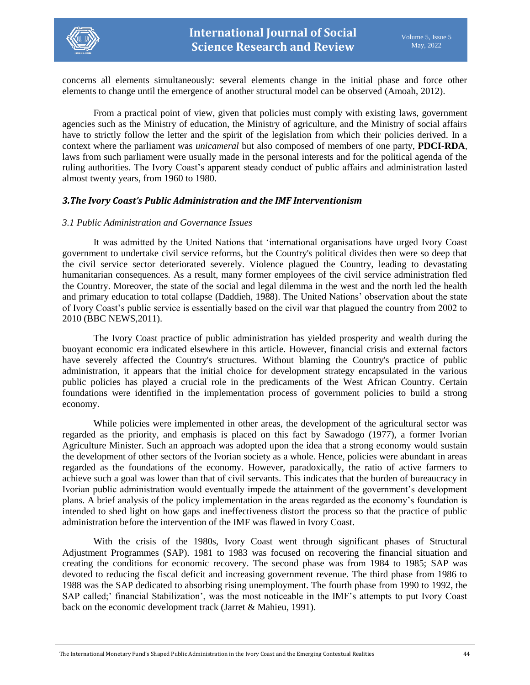

concerns all elements simultaneously: several elements change in the initial phase and force other elements to change until the emergence of another structural model can be observed (Amoah, 2012).

From a practical point of view, given that policies must comply with existing laws, government agencies such as the Ministry of education, the Ministry of agriculture, and the Ministry of social affairs have to strictly follow the letter and the spirit of the legislation from which their policies derived. In a context where the parliament was *unicameral* but also composed of members of one party, **PDCI-RDA**, laws from such parliament were usually made in the personal interests and for the political agenda of the ruling authorities. The Ivory Coast's apparent steady conduct of public affairs and administration lasted almost twenty years, from 1960 to 1980.

#### *3.The Ivory Coast's Public Administration and the IMF Interventionism*

#### *3.1 Public Administration and Governance Issues*

It was admitted by the United Nations that 'international organisations have urged Ivory Coast government to undertake civil service reforms, but the Country's political divides then were so deep that the civil service sector deteriorated severely. Violence plagued the Country, leading to devastating humanitarian consequences. As a result, many former employees of the civil service administration fled the Country. Moreover, the state of the social and legal dilemma in the west and the north led the health and primary education to total collapse (Daddieh, 1988). The United Nations' observation about the state of Ivory Coast's public service is essentially based on the civil war that plagued the country from 2002 to 2010 (BBC NEWS,2011).

The Ivory Coast practice of public administration has yielded prosperity and wealth during the buoyant economic era indicated elsewhere in this article. However, financial crisis and external factors have severely affected the Country's structures. Without blaming the Country's practice of public administration, it appears that the initial choice for development strategy encapsulated in the various public policies has played a crucial role in the predicaments of the West African Country. Certain foundations were identified in the implementation process of government policies to build a strong economy.

While policies were implemented in other areas, the development of the agricultural sector was regarded as the priority, and emphasis is placed on this fact by Sawadogo (1977), a former Ivorian Agriculture Minister. Such an approach was adopted upon the idea that a strong economy would sustain the development of other sectors of the Ivorian society as a whole. Hence, policies were abundant in areas regarded as the foundations of the economy. However, paradoxically, the ratio of active farmers to achieve such a goal was lower than that of civil servants. This indicates that the burden of bureaucracy in Ivorian public administration would eventually impede the attainment of the government's development plans. A brief analysis of the policy implementation in the areas regarded as the economy's foundation is intended to shed light on how gaps and ineffectiveness distort the process so that the practice of public administration before the intervention of the IMF was flawed in Ivory Coast.

With the crisis of the 1980s, Ivory Coast went through significant phases of Structural Adjustment Programmes (SAP). 1981 to 1983 was focused on recovering the financial situation and creating the conditions for economic recovery. The second phase was from 1984 to 1985; SAP was devoted to reducing the fiscal deficit and increasing government revenue. The third phase from 1986 to 1988 was the SAP dedicated to absorbing rising unemployment. The fourth phase from 1990 to 1992, the SAP called;' financial Stabilization', was the most noticeable in the IMF's attempts to put Ivory Coast back on the economic development track (Jarret & Mahieu, 1991).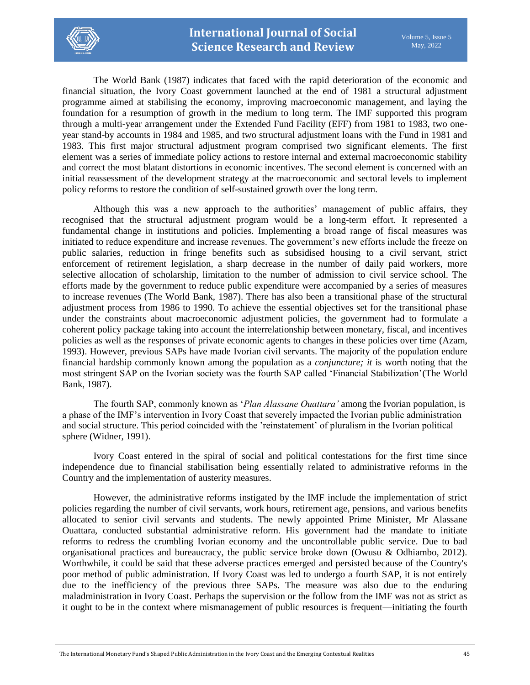

The World Bank (1987) indicates that faced with the rapid deterioration of the economic and financial situation, the Ivory Coast government launched at the end of 1981 a structural adjustment programme aimed at stabilising the economy, improving macroeconomic management, and laying the foundation for a resumption of growth in the medium to long term. The IMF supported this program through a multi-year arrangement under the Extended Fund Facility (EFF) from 1981 to 1983, two oneyear stand-by accounts in 1984 and 1985, and two structural adjustment loans with the Fund in 1981 and 1983. This first major structural adjustment program comprised two significant elements. The first element was a series of immediate policy actions to restore internal and external macroeconomic stability and correct the most blatant distortions in economic incentives. The second element is concerned with an initial reassessment of the development strategy at the macroeconomic and sectoral levels to implement policy reforms to restore the condition of self-sustained growth over the long term.

Although this was a new approach to the authorities' management of public affairs, they recognised that the structural adjustment program would be a long-term effort. It represented a fundamental change in institutions and policies. Implementing a broad range of fiscal measures was initiated to reduce expenditure and increase revenues. The government's new efforts include the freeze on public salaries, reduction in fringe benefits such as subsidised housing to a civil servant, strict enforcement of retirement legislation, a sharp decrease in the number of daily paid workers, more selective allocation of scholarship, limitation to the number of admission to civil service school. The efforts made by the government to reduce public expenditure were accompanied by a series of measures to increase revenues (The World Bank, 1987). There has also been a transitional phase of the structural adjustment process from 1986 to 1990. To achieve the essential objectives set for the transitional phase under the constraints about macroeconomic adjustment policies, the government had to formulate a coherent policy package taking into account the interrelationship between monetary, fiscal, and incentives policies as well as the responses of private economic agents to changes in these policies over time (Azam, 1993). However, previous SAPs have made Ivorian civil servants. The majority of the population endure financial hardship commonly known among the population as a *conjuncture; it* is worth noting that the most stringent SAP on the Ivorian society was the fourth SAP called 'Financial Stabilization'(The World Bank, 1987).

The fourth SAP, commonly known as '*Plan Alassane Ouattara'* among the Ivorian population, is a phase of the IMF's intervention in Ivory Coast that severely impacted the Ivorian public administration and social structure. This period coincided with the 'reinstatement' of pluralism in the Ivorian political sphere (Widner, 1991).

Ivory Coast entered in the spiral of social and political contestations for the first time since independence due to financial stabilisation being essentially related to administrative reforms in the Country and the implementation of austerity measures.

However, the administrative reforms instigated by the IMF include the implementation of strict policies regarding the number of civil servants, work hours, retirement age, pensions, and various benefits allocated to senior civil servants and students. The newly appointed Prime Minister, Mr Alassane Ouattara, conducted substantial administrative reform. His government had the mandate to initiate reforms to redress the crumbling Ivorian economy and the uncontrollable public service. Due to bad organisational practices and bureaucracy, the public service broke down (Owusu & Odhiambo, 2012). Worthwhile, it could be said that these adverse practices emerged and persisted because of the Country's poor method of public administration. If Ivory Coast was led to undergo a fourth SAP, it is not entirely due to the inefficiency of the previous three SAPs. The measure was also due to the enduring maladministration in Ivory Coast. Perhaps the supervision or the follow from the IMF was not as strict as it ought to be in the context where mismanagement of public resources is frequent—initiating the fourth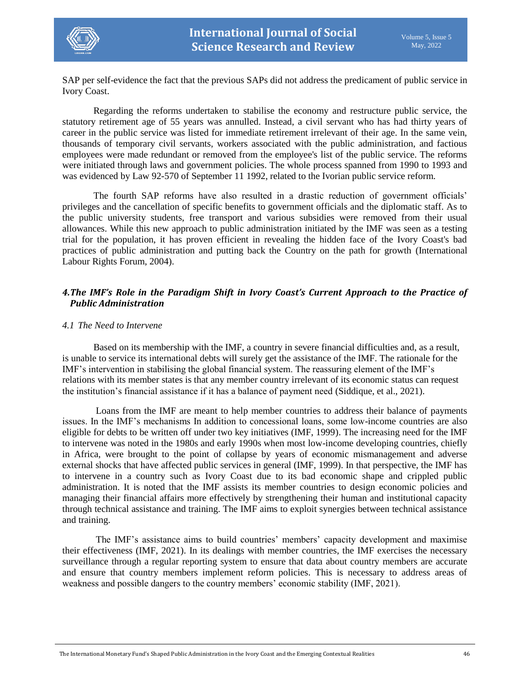

SAP per self-evidence the fact that the previous SAPs did not address the predicament of public service in Ivory Coast.

Regarding the reforms undertaken to stabilise the economy and restructure public service, the statutory retirement age of 55 years was annulled. Instead, a civil servant who has had thirty years of career in the public service was listed for immediate retirement irrelevant of their age. In the same vein, thousands of temporary civil servants, workers associated with the public administration, and factious employees were made redundant or removed from the employee's list of the public service. The reforms were initiated through laws and government policies. The whole process spanned from 1990 to 1993 and was evidenced by Law 92-570 of September 11 1992, related to the Ivorian public service reform.

The fourth SAP reforms have also resulted in a drastic reduction of government officials' privileges and the cancellation of specific benefits to government officials and the diplomatic staff. As to the public university students, free transport and various subsidies were removed from their usual allowances. While this new approach to public administration initiated by the IMF was seen as a testing trial for the population, it has proven efficient in revealing the hidden face of the Ivory Coast's bad practices of public administration and putting back the Country on the path for growth (International Labour Rights Forum, 2004).

# *4.The IMF's Role in the Paradigm Shift in Ivory Coast's Current Approach to the Practice of Public Administration*

#### *4.1 The Need to Intervene*

Based on its membership with the IMF, a country in severe financial difficulties and, as a result, is unable to service its international debts will surely get the assistance of the IMF. The rationale for the IMF's intervention in stabilising the global financial system. The reassuring element of the IMF's relations with its member states is that any member country irrelevant of its economic status can request the institution's financial assistance if it has a balance of payment need (Siddique, et al., 2021).

Loans from the IMF are meant to help member countries to address their balance of payments issues. In the IMF's mechanisms In addition to concessional loans, some low-income countries are also eligible for debts to be written off under two key initiatives (IMF, 1999). The increasing need for the IMF to intervene was noted in the 1980s and early 1990s when most low-income developing countries, chiefly in Africa, were brought to the point of collapse by years of economic mismanagement and adverse external shocks that have affected public services in general (IMF, 1999). In that perspective, the IMF has to intervene in a country such as Ivory Coast due to its bad economic shape and crippled public administration. It is noted that the IMF assists its member countries to design economic policies and managing their financial affairs more effectively by strengthening their human and institutional capacity through technical assistance and training. The IMF aims to exploit synergies between technical assistance and training.

The IMF's assistance aims to build countries' members' capacity development and maximise their effectiveness (IMF, 2021). In its dealings with member countries, the IMF exercises the necessary surveillance through a regular reporting system to ensure that data about country members are accurate and ensure that country members implement reform policies. This is necessary to address areas of weakness and possible dangers to the country members' economic stability (IMF, 2021).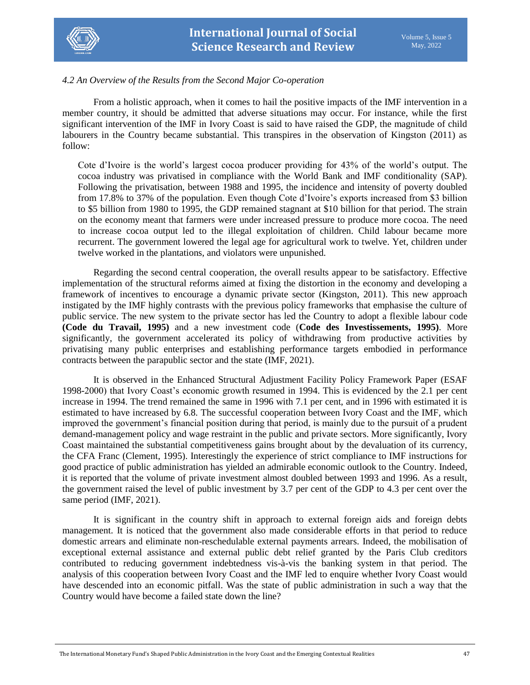

## *4.2 An Overview of the Results from the Second Major Co-operation*

From a holistic approach, when it comes to hail the positive impacts of the IMF intervention in a member country, it should be admitted that adverse situations may occur. For instance, while the first significant intervention of the IMF in Ivory Coast is said to have raised the GDP, the magnitude of child labourers in the Country became substantial. This transpires in the observation of Kingston (2011) as follow:

Cote d'Ivoire is the world's largest cocoa producer providing for 43% of the world's output. The cocoa industry was privatised in compliance with the World Bank and IMF conditionality (SAP). Following the privatisation, between 1988 and 1995, the incidence and intensity of poverty doubled from 17.8% to 37% of the population. Even though Cote d'Ivoire's exports increased from \$3 billion to \$5 billion from 1980 to 1995, the GDP remained stagnant at \$10 billion for that period. The strain on the economy meant that farmers were under increased pressure to produce more cocoa. The need to increase cocoa output led to the illegal exploitation of children. Child labour became more recurrent. The government lowered the legal age for agricultural work to twelve. Yet, children under twelve worked in the plantations, and violators were unpunished.

Regarding the second central cooperation, the overall results appear to be satisfactory. Effective implementation of the structural reforms aimed at fixing the distortion in the economy and developing a framework of incentives to encourage a dynamic private sector (Kingston, 2011). This new approach instigated by the IMF highly contrasts with the previous policy frameworks that emphasise the culture of public service. The new system to the private sector has led the Country to adopt a flexible labour code **(Code du Travail, 1995)** and a new investment code (**Code des Investissements, 1995)**. More significantly, the government accelerated its policy of withdrawing from productive activities by privatising many public enterprises and establishing performance targets embodied in performance contracts between the parapublic sector and the state (IMF, 2021).

It is observed in the Enhanced Structural Adjustment Facility Policy Framework Paper (ESAF 1998-2000) that Ivory Coast's economic growth resumed in 1994. This is evidenced by the 2.1 per cent increase in 1994. The trend remained the same in 1996 with 7.1 per cent, and in 1996 with estimated it is estimated to have increased by 6.8. The successful cooperation between Ivory Coast and the IMF, which improved the government's financial position during that period, is mainly due to the pursuit of a prudent demand-management policy and wage restraint in the public and private sectors. More significantly, Ivory Coast maintained the substantial competitiveness gains brought about by the devaluation of its currency, the CFA Franc (Clement, 1995). Interestingly the experience of strict compliance to IMF instructions for good practice of public administration has yielded an admirable economic outlook to the Country. Indeed, it is reported that the volume of private investment almost doubled between 1993 and 1996. As a result, the government raised the level of public investment by 3.7 per cent of the GDP to 4.3 per cent over the same period (IMF, 2021).

It is significant in the country shift in approach to external foreign aids and foreign debts management. It is noticed that the government also made considerable efforts in that period to reduce domestic arrears and eliminate non-reschedulable external payments arrears. Indeed, the mobilisation of exceptional external assistance and external public debt relief granted by the Paris Club creditors contributed to reducing government indebtedness vis-à-vis the banking system in that period. The analysis of this cooperation between Ivory Coast and the IMF led to enquire whether Ivory Coast would have descended into an economic pitfall. Was the state of public administration in such a way that the Country would have become a failed state down the line?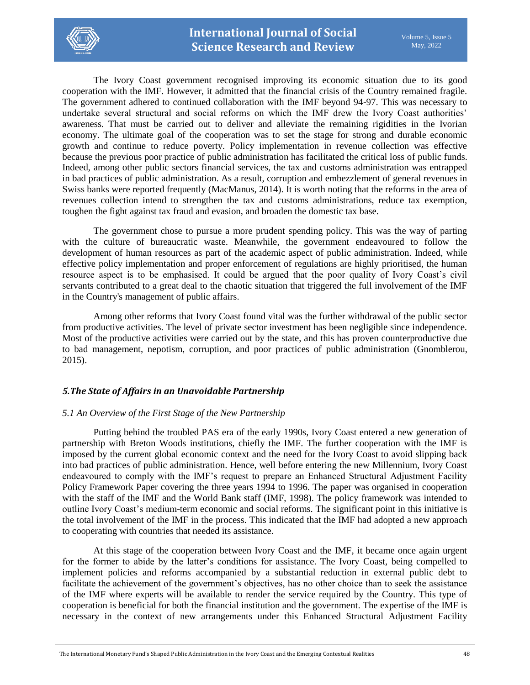

The Ivory Coast government recognised improving its economic situation due to its good cooperation with the IMF. However, it admitted that the financial crisis of the Country remained fragile. The government adhered to continued collaboration with the IMF beyond 94-97. This was necessary to undertake several structural and social reforms on which the IMF drew the Ivory Coast authorities' awareness. That must be carried out to deliver and alleviate the remaining rigidities in the Ivorian economy. The ultimate goal of the cooperation was to set the stage for strong and durable economic growth and continue to reduce poverty. Policy implementation in revenue collection was effective because the previous poor practice of public administration has facilitated the critical loss of public funds. Indeed, among other public sectors financial services, the tax and customs administration was entrapped in bad practices of public administration. As a result, corruption and embezzlement of general revenues in Swiss banks were reported frequently (MacManus, 2014). It is worth noting that the reforms in the area of revenues collection intend to strengthen the tax and customs administrations, reduce tax exemption, toughen the fight against tax fraud and evasion, and broaden the domestic tax base.

The government chose to pursue a more prudent spending policy. This was the way of parting with the culture of bureaucratic waste. Meanwhile, the government endeavoured to follow the development of human resources as part of the academic aspect of public administration. Indeed, while effective policy implementation and proper enforcement of regulations are highly prioritised, the human resource aspect is to be emphasised. It could be argued that the poor quality of Ivory Coast's civil servants contributed to a great deal to the chaotic situation that triggered the full involvement of the IMF in the Country's management of public affairs.

Among other reforms that Ivory Coast found vital was the further withdrawal of the public sector from productive activities. The level of private sector investment has been negligible since independence. Most of the productive activities were carried out by the state, and this has proven counterproductive due to bad management, nepotism, corruption, and poor practices of public administration (Gnomblerou, 2015).

# *5.The State of Affairs in an Unavoidable Partnership*

# *5.1 An Overview of the First Stage of the New Partnership*

Putting behind the troubled PAS era of the early 1990s, Ivory Coast entered a new generation of partnership with Breton Woods institutions, chiefly the IMF. The further cooperation with the IMF is imposed by the current global economic context and the need for the Ivory Coast to avoid slipping back into bad practices of public administration. Hence, well before entering the new Millennium, Ivory Coast endeavoured to comply with the IMF's request to prepare an Enhanced Structural Adjustment Facility Policy Framework Paper covering the three years 1994 to 1996. The paper was organised in cooperation with the staff of the IMF and the World Bank staff (IMF, 1998). The policy framework was intended to outline Ivory Coast's medium-term economic and social reforms. The significant point in this initiative is the total involvement of the IMF in the process. This indicated that the IMF had adopted a new approach to cooperating with countries that needed its assistance.

At this stage of the cooperation between Ivory Coast and the IMF, it became once again urgent for the former to abide by the latter's conditions for assistance. The Ivory Coast, being compelled to implement policies and reforms accompanied by a substantial reduction in external public debt to facilitate the achievement of the government's objectives, has no other choice than to seek the assistance of the IMF where experts will be available to render the service required by the Country. This type of cooperation is beneficial for both the financial institution and the government. The expertise of the IMF is necessary in the context of new arrangements under this Enhanced Structural Adjustment Facility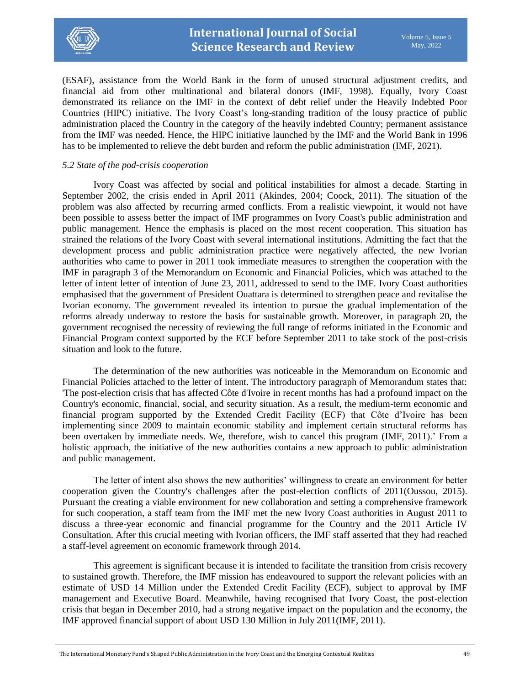

(ESAF), assistance from the World Bank in the form of unused structural adjustment credits, and financial aid from other multinational and bilateral donors (IMF, 1998). Equally, Ivory Coast demonstrated its reliance on the IMF in the context of debt relief under the Heavily Indebted Poor Countries (HIPC) initiative. The Ivory Coast's long-standing tradition of the lousy practice of public administration placed the Country in the category of the heavily indebted Country; permanent assistance from the IMF was needed. Hence, the HIPC initiative launched by the IMF and the World Bank in 1996 has to be implemented to relieve the debt burden and reform the public administration (IMF, 2021).

#### *5.2 State of the pod-crisis cooperation*

Ivory Coast was affected by social and political instabilities for almost a decade. Starting in September 2002, the crisis ended in April 2011 (Akindes, 2004; Coock, 2011). The situation of the problem was also affected by recurring armed conflicts. From a realistic viewpoint, it would not have been possible to assess better the impact of IMF programmes on Ivory Coast's public administration and public management. Hence the emphasis is placed on the most recent cooperation. This situation has strained the relations of the Ivory Coast with several international institutions. Admitting the fact that the development process and public administration practice were negatively affected, the new Ivorian authorities who came to power in 2011 took immediate measures to strengthen the cooperation with the IMF in paragraph 3 of the Memorandum on Economic and Financial Policies, which was attached to the letter of intent letter of intention of June 23, 2011, addressed to send to the IMF. Ivory Coast authorities emphasised that the government of President Ouattara is determined to strengthen peace and revitalise the Ivorian economy. The government revealed its intention to pursue the gradual implementation of the reforms already underway to restore the basis for sustainable growth. Moreover, in paragraph 20, the government recognised the necessity of reviewing the full range of reforms initiated in the Economic and Financial Program context supported by the ECF before September 2011 to take stock of the post-crisis situation and look to the future.

The determination of the new authorities was noticeable in the Memorandum on Economic and Financial Policies attached to the letter of intent. The introductory paragraph of Memorandum states that: 'The post-election crisis that has affected Côte d'Ivoire in recent months has had a profound impact on the Country's economic, financial, social, and security situation. As a result, the medium-term economic and financial program supported by the Extended Credit Facility (ECF) that Côte d'Ivoire has been implementing since 2009 to maintain economic stability and implement certain structural reforms has been overtaken by immediate needs. We, therefore, wish to cancel this program (IMF, 2011).' From a holistic approach, the initiative of the new authorities contains a new approach to public administration and public management.

The letter of intent also shows the new authorities' willingness to create an environment for better cooperation given the Country's challenges after the post-election conflicts of 2011(Oussou, 2015). Pursuant the creating a viable environment for new collaboration and setting a comprehensive framework for such cooperation, a staff team from the IMF met the new Ivory Coast authorities in August 2011 to discuss a three-year economic and financial programme for the Country and the 2011 Article IV Consultation. After this crucial meeting with Ivorian officers, the IMF staff asserted that they had reached a staff-level agreement on economic framework through 2014.

This agreement is significant because it is intended to facilitate the transition from crisis recovery to sustained growth. Therefore, the IMF mission has endeavoured to support the relevant policies with an estimate of USD 14 Million under the Extended Credit Facility (ECF), subject to approval by IMF management and Executive Board. Meanwhile, having recognised that Ivory Coast, the post-election crisis that began in December 2010, had a strong negative impact on the population and the economy, the IMF approved financial support of about USD 130 Million in July 2011(IMF, 2011).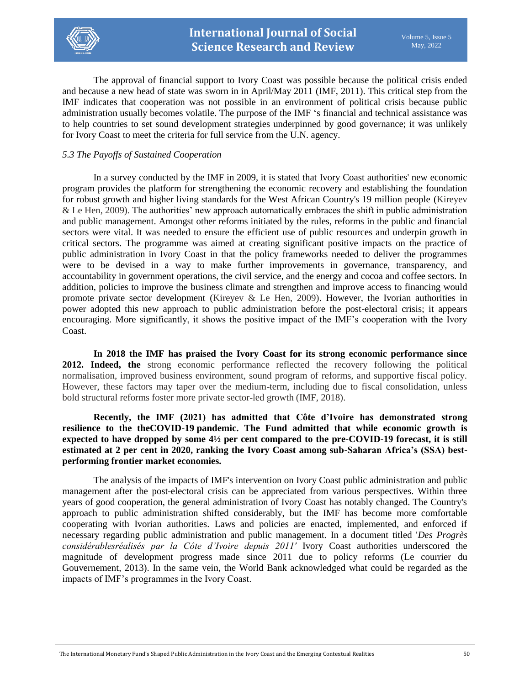

The approval of financial support to Ivory Coast was possible because the political crisis ended and because a new head of state was sworn in in April/May 2011 (IMF, 2011). This critical step from the IMF indicates that cooperation was not possible in an environment of political crisis because public administration usually becomes volatile. The purpose of the IMF 's financial and technical assistance was to help countries to set sound development strategies underpinned by good governance; it was unlikely for Ivory Coast to meet the criteria for full service from the U.N. agency.

# *5.3 The Payoffs of Sustained Cooperation*

In a survey conducted by the IMF in 2009, it is stated that Ivory Coast authorities' new economic program provides the platform for strengthening the economic recovery and establishing the foundation for robust growth and higher living standards for the West African Country's 19 million people (Kireyev & Le Hen, 2009). The authorities' new approach automatically embraces the shift in public administration and public management. Amongst other reforms initiated by the rules, reforms in the public and financial sectors were vital. It was needed to ensure the efficient use of public resources and underpin growth in critical sectors. The programme was aimed at creating significant positive impacts on the practice of public administration in Ivory Coast in that the policy frameworks needed to deliver the programmes were to be devised in a way to make further improvements in governance, transparency, and accountability in government operations, the civil service, and the energy and cocoa and coffee sectors. In addition, policies to improve the business climate and strengthen and improve access to financing would promote private sector development (Kireyev & Le Hen, 2009). However, the Ivorian authorities in power adopted this new approach to public administration before the post-electoral crisis; it appears encouraging. More significantly, it shows the positive impact of the IMF's cooperation with the Ivory Coast.

**In 2018 the IMF has praised the Ivory Coast for its strong economic performance since 2012. Indeed, the** strong economic performance reflected the recovery following the political normalisation, improved business environment, sound program of reforms, and supportive fiscal policy. However, these factors may taper over the medium-term, including due to fiscal consolidation, unless bold structural reforms foster more private sector-led growth (IMF, 2018).

**Recently, the IMF (2021) has admitted that Côte d'Ivoire has demonstrated strong resilience to the theCOVID-19 pandemic. The Fund admitted that while economic growth is expected to have dropped by some 4½ per cent compared to the pre-COVID-19 forecast, it is still estimated at 2 per cent in 2020, ranking the Ivory Coast among sub-Saharan Africa's (SSA) bestperforming frontier market economies.**

The analysis of the impacts of IMF's intervention on Ivory Coast public administration and public management after the post-electoral crisis can be appreciated from various perspectives. Within three years of good cooperation, the general administration of Ivory Coast has notably changed. The Country's approach to public administration shifted considerably, but the IMF has become more comfortable cooperating with Ivorian authorities. Laws and policies are enacted, implemented, and enforced if necessary regarding public administration and public management. In a document titled '*Des Progrès considérablesréalisés par la Côte d'Ivoire depuis 2011'* Ivory Coast authorities underscored the magnitude of development progress made since 2011 due to policy reforms (Le courrier du Gouvernement, 2013). In the same vein, the World Bank acknowledged what could be regarded as the impacts of IMF's programmes in the Ivory Coast.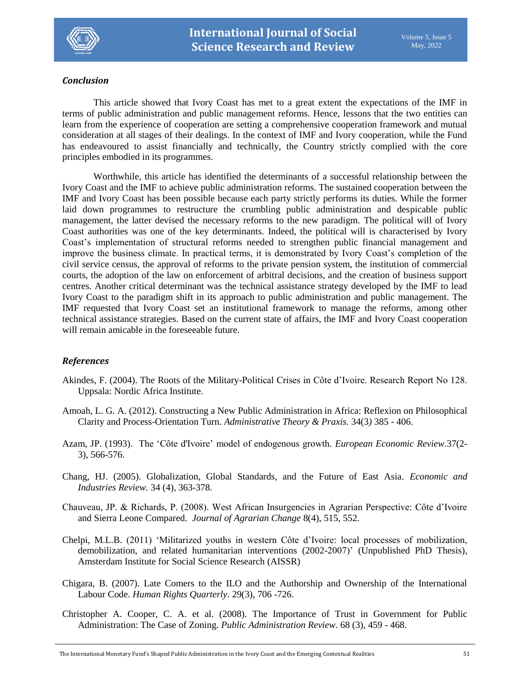

# *Conclusion*

This article showed that Ivory Coast has met to a great extent the expectations of the IMF in terms of public administration and public management reforms. Hence, lessons that the two entities can learn from the experience of cooperation are setting a comprehensive cooperation framework and mutual consideration at all stages of their dealings. In the context of IMF and Ivory cooperation, while the Fund has endeavoured to assist financially and technically, the Country strictly complied with the core principles embodied in its programmes.

Worthwhile, this article has identified the determinants of a successful relationship between the Ivory Coast and the IMF to achieve public administration reforms. The sustained cooperation between the IMF and Ivory Coast has been possible because each party strictly performs its duties. While the former laid down programmes to restructure the crumbling public administration and despicable public management, the latter devised the necessary reforms to the new paradigm. The political will of Ivory Coast authorities was one of the key determinants. Indeed, the political will is characterised by Ivory Coast's implementation of structural reforms needed to strengthen public financial management and improve the business climate. In practical terms, it is demonstrated by Ivory Coast's completion of the civil service census, the approval of reforms to the private pension system, the institution of commercial courts, the adoption of the law on enforcement of arbitral decisions, and the creation of business support centres. Another critical determinant was the technical assistance strategy developed by the IMF to lead Ivory Coast to the paradigm shift in its approach to public administration and public management. The IMF requested that Ivory Coast set an institutional framework to manage the reforms, among other technical assistance strategies. Based on the current state of affairs, the IMF and Ivory Coast cooperation will remain amicable in the foreseeable future.

# *References*

- Akindes, F. (2004). The Roots of the Military-Political Crises in Côte d'Ivoire. Research Report No 128. Uppsala: Nordic Africa Institute.
- Amoah, L. G. A. (2012). Constructing a New Public Administration in Africa: Reflexion on Philosophical Clarity and Process-Orientation Turn. *Administrative Theory & Praxis.* 34(3*)* 385 - 406.
- Azam, JP. (1993). The 'Côte d'Ivoire' model of endogenous growth*. European Economic Review.*37(2- 3), 566-576.
- Chang, HJ. (2005). Globalization, Global Standards, and the Future of East Asia. *Economic and Industries Review.* 34 (4), 363-378.
- Chauveau, JP. & Richards, P. (2008). West African Insurgencies in Agrarian Perspective: Côte d'Ivoire and Sierra Leone Compared. *Journal of Agrarian Change* 8(4), 515, 552.
- Chelpi, M.L.B. (2011) 'Militarized youths in western Côte d'Ivoire: local processes of mobilization, demobilization, and related humanitarian interventions (2002-2007)' (Unpublished PhD Thesis), Amsterdam Institute for Social Science Research (AISSR)
- Chigara, B. (2007). Late Comers to the ILO and the Authorship and Ownership of the International Labour Code. *Human Rights Quarterly*. 29(3), 706 -726.
- Christopher A. Cooper, C. A. et al. (2008). The Importance of Trust in Government for Public Administration: The Case of Zoning. *Public Administration Review.* 68 (3), 459 - 468.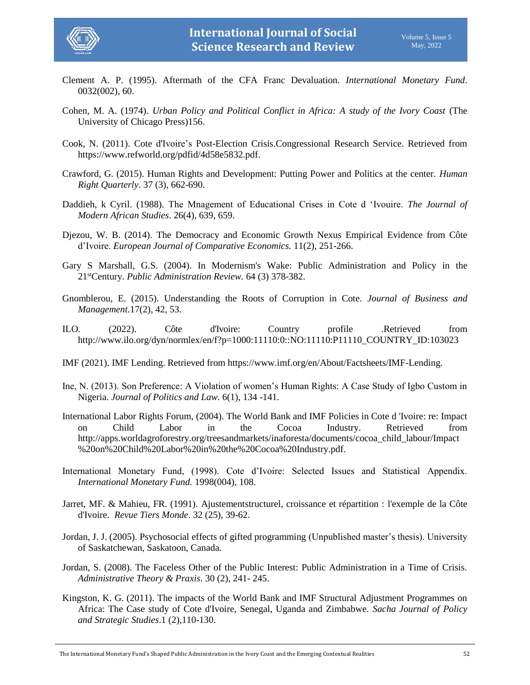

- Clement A. P. (1995). Aftermath of the CFA Franc Devaluation. *International Monetary Fund*. 0032(002), 60.
- Cohen, M. A. (1974). *Urban Policy and Political Conflict in Africa: A study of the Ivory Coast* (The University of Chicago Press)156.
- Cook, N. (2011). Cote d'Ivoire's Post-Election Crisis.Congressional Research Service. Retrieved from https://www.refworld.org/pdfid/4d58e5832.pdf.
- Crawford, G. (2015). Human Rights and Development: Putting Power and Politics at the center. *Human Right Quarterly*. 37 (3), 662-690.
- Daddieh, k Cyril. (1988). The Mnagement of Educational Crises in Cote d 'Ivouire. *The Journal of Modern African Studies*. 26(4), 639, 659.
- Djezou, W. B. (2014). The Democracy and Economic Growth Nexus Empirical Evidence from Côte d'Ivoire. *European Journal of Comparative Economics.* 11(2), 251-266.
- Gary S Marshall, G.S. (2004). In Modernism's Wake: Public Administration and Policy in the 21stCentury. *Public Administration Review.* 64 (3) 378-382.
- Gnomblerou, E. (2015). Understanding the Roots of Corruption in Cote. *Journal of Business and Management.*17(2), 42, 53.
- ILO. (2022). Côte d'Ivoire: Country profile .Retrieved from [http://www.ilo.org/dyn/normlex/en/f?p=1000:11110:0::NO:11110:P11110\\_COUNTRY\\_ID:103023](http://www.ilo.org/dyn/normlex/en/f?p=1000:11110:0::NO:11110:P11110_COUNTRY_ID:103023%20%20)
- IMF (2021). IMF Lending. Retrieved from https://www.imf.org/en/About/Factsheets/IMF-Lending.
- Ine, N. (2013). Son Preference: A Violation of women's Human Rights: A Case Study of Igbo Custom in Nigeria. *Journal of Politics and Law*. 6(1), 134 -141.
- International Labor Rights Forum, (2004). The World Bank and IMF Policies in Cote d 'Ivoire: re: Impact on Child Labor in the Cocoa Industry. Retrieved from [http://apps.worldagroforestry.org/treesandmarkets/inaforesta/documents/cocoa\\_child\\_labour/Impact](http://apps.worldagroforestry.org/treesandmarkets/inaforesta/documents/cocoa_child_labour/Impact%20on%20Child%20Labor%20in%20the%20Cocoa%20Industry.pdf) [%20on%20Child%20Labor%20in%20the%20Cocoa%20Industry.pdf.](http://apps.worldagroforestry.org/treesandmarkets/inaforesta/documents/cocoa_child_labour/Impact%20on%20Child%20Labor%20in%20the%20Cocoa%20Industry.pdf)
- International Monetary Fund, (1998). Cote d'Ivoire: Selected Issues and Statistical Appendix. *International Monetary Fund.* 1998(004), 108.
- Jarret, MF. & Mahieu, FR. (1991). Ajustementstructurel, croissance et répartition : l'exemple de la Côte d'Ivoire. *Revue Tiers Monde*. 32 (25), 39-62.
- Jordan, J. J. (2005). Psychosocial effects of gifted programming (Unpublished master's thesis). University of Saskatchewan, Saskatoon, Canada.
- Jordan, S. (2008). The Faceless Other of the Public Interest: Public Administration in a Time of Crisis. *Administrative Theory & Praxis*. 30 (2), 241- 245.
- Kingston, K. G. (2011). The impacts of the World Bank and IMF Structural Adjustment Programmes on Africa: The Case study of Cote d'Ivoire, Senegal, Uganda and Zimbabwe. *Sacha Journal of Policy and Strategic Studies*.1 (2),110-130.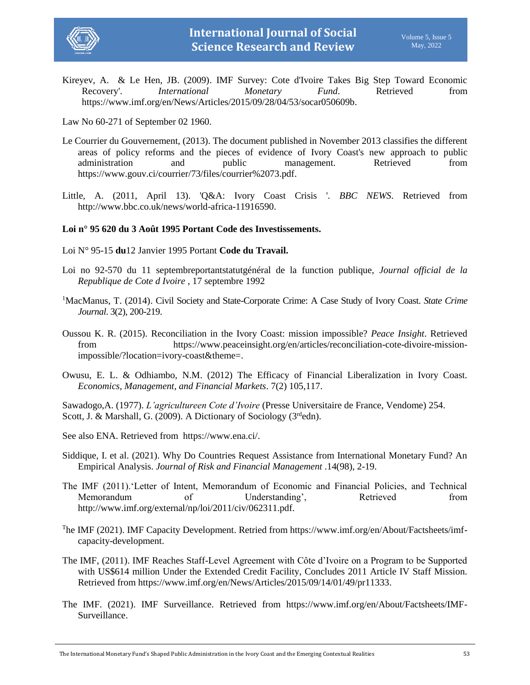



Kireyev, A. & Le Hen, JB. (2009). IMF Survey: Cote d'Ivoire Takes Big Step Toward Economic Recovery'. *International Monetary Fund*. Retrieved from [https://www.imf.org/en/News/Articles/2015/09/28/04/53/socar050609b.](https://www.imf.org/en/News/Articles/2015/09/28/04/53/socar050609b)

Law No 60-271 of September 02 1960.

- Le Courrier du Gouvernement, (2013). The document published in November 2013 classifies the different areas of policy reforms and the pieces of evidence of Ivory Coast's new approach to public administration and public management. Retrieved from [https://www.gouv.ci/courrier/73/files/courrier%2073.pdf.](https://www.gouv.ci/courrier/73/files/courrier%2073.pdf)
- Little, A. (2011, April 13). 'Q&A: Ivory Coast Crisis '. *BBC NEWS*. Retrieved from [http://www.bbc.co.uk/news/world-africa-11916590.](http://www.bbc.co.uk/news/world-africa-11916590)

# **Loi n° 95 620 du 3 Août 1995 Portant Code des Investissements.**

- Loi N° 95-15 **du**12 Janvier 1995 Portant **Code du Travail.**
- Loi no 92-570 du 11 septembreportantstatutgénéral de la function publique, *Journal official de la Republique de Cote d Ivoire* , 17 septembre 1992
- <sup>1</sup>MacManus, T. (2014). Civil Society and State-Corporate Crime: A Case Study of Ivory Coast. *State Crime Journal*. 3(2), 200-219.
- Oussou K. R. (2015). Reconciliation in the Ivory Coast: mission impossible? *Peace Insight*. Retrieved from https://www.peaceinsight.org/en/articles/reconciliation-cote-divoire-missionimpossible/?location=ivory-coast&theme=.
- Owusu, E. L. & Odhiambo, N.M. (2012) The Efficacy of Financial Liberalization in Ivory Coast*. Economics, Management, and Financial Markets*. 7(2) 105,117.

Sawadogo,A. (1977). *L'agricultureen Cote d'Ivoire* (Presse Universitaire de France, Vendome) 254. Scott, J. & Marshall, G. (2009). A Dictionary of Sociology (3rdedn).

- See also ENA. Retrieved from [https://www.ena.ci/.](https://www.ena.ci/)
- Siddique, I. et al. (2021). Why Do Countries Request Assistance from International Monetary Fund? An Empirical Analysis. *Journal of Risk and Financial Management* .14(98), 2-19.
- The IMF (2011).'Letter of Intent, Memorandum of Economic and Financial Policies, and Technical Memorandum of Understanding', Retrieved from [http://www.imf.org/external/np/loi/2011/civ/062311.pdf.](http://www.imf.org/external/np/loi/2011/civ/062311.pdf)
- The IMF (2021). IMF Capacity Development. Retried from https://www.imf.org/en/About/Factsheets/imfcapacity-development.
- The IMF, (2011). IMF Reaches Staff-Level Agreement with Côte d'Ivoire on a Program to be Supported with US\$614 million Under the Extended Credit Facility, Concludes 2011 Article IV Staff Mission. Retrieved fro[m https://www.imf.org/en/News/Articles/2015/09/14/01/49/pr11333.](https://www.imf.org/en/News/Articles/2015/09/14/01/49/pr11333)
- The IMF. (2021). IMF Surveillance. Retrieved from [https://www.imf.org/en/About/Factsheets/IMF-](https://www.imf.org/en/About/Factsheets/IMF-Surveillance)[Surveillance.](https://www.imf.org/en/About/Factsheets/IMF-Surveillance)